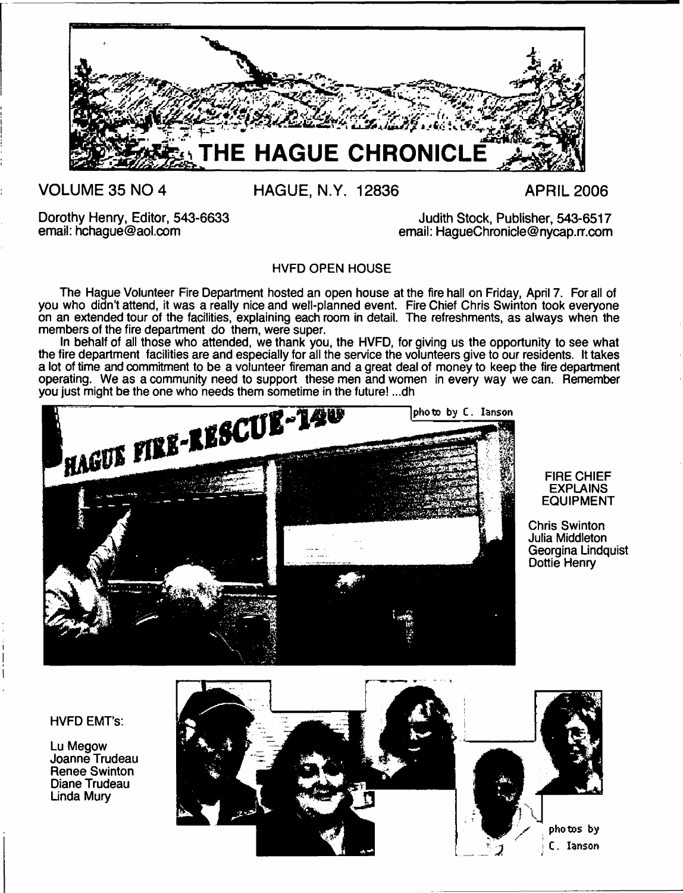

# **VOLUME 35 NO 4**

**HAGUE, N.Y. 12836 APRIL 2006**

Dorothy Henry, Editor, 543-6633 email: [hchague@aol.com](mailto:hchague@aol.com)

Judith Stock, Publisher, 543-6517 email: [HagueChronicle@nycap.rr.com](mailto:HagueChronicle@nycap.rr.com)

HVFD OPEN HOUSE

The Hague Volunteer Fire Department hosted an open house at the fire hall on Friday, April 7. For all of you who didn't attend, it was a really nice and well-planned event. Fire Chief Chris Swinton took everyone on an extended tour of the facilities, explaining each room in detail. The refreshments, as always when the members of the fire department do them, were super.

In behalf of all those who attended, we thank you, the HVFD, for giving us the opportunity to see what the fire department facilities are and especially for all the service the volunteers give to our residents. It takes a lot of time and commitment to be a volunteer fireman and a great deal of money to keep the fire department operating. We as a community need to support these men and women in every way we can. Remember



#### FIRE CHIEF EXPLAINS EQUIPMENT

Chris Swinton Julia Middleton Georgina Lindquist Dottie Henry

#### HVFD EMT's:

Lu Megow Joanne Trudeau Renee Swinton Diane Trudeau Linda Mury

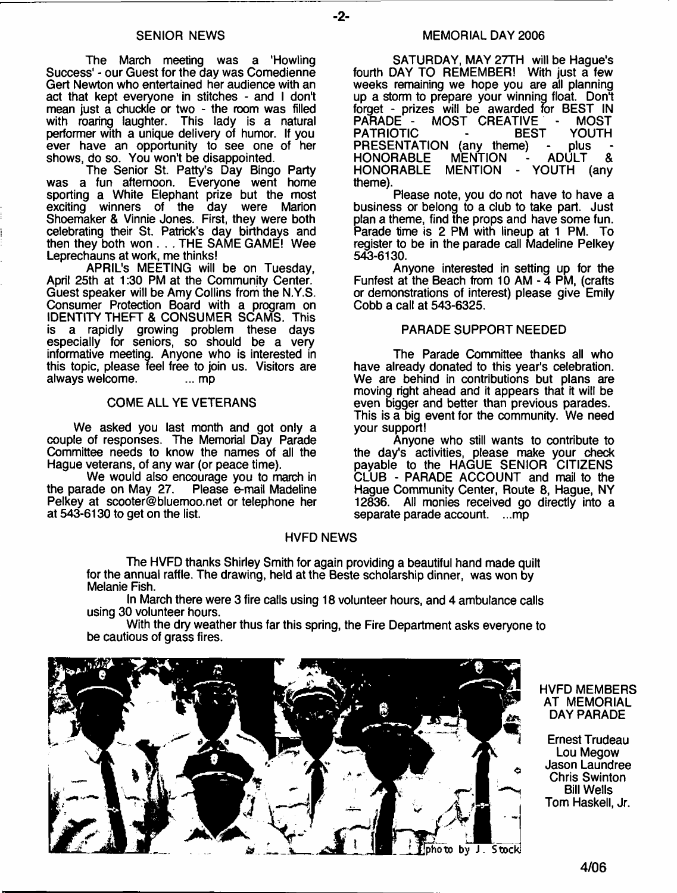The March meeting was a 'Howling Success' - our Guest for the day was Comedienne Gert Newton who entertained her audience with an act that kept everyone in stitches - and I don't mean just a chuckle or two - the room was filled with roaring laughter. This lady is a natural performer with a unique delivery of humor. If you ever have an opportunity to see one of her shows, do so. You won't be disappointed.

The Senior St. Patty's Day Bingo Party was a fun afternoon. Everyone went home sporting a White Elephant prize but the most exciting winners of the day were Marion Shoemaker & Vinnie Jones. First, they were both celebrating their St. Patrick's day birthdays and then they both won . . . THE SAME GAME! Wee Leprechauns at work, me thinks!

APRIL'S MEETING will be on Tuesday, April 25th at 1:30 PM at the Community Center. Guest speaker will be Amy Collins from the N.Y.S. Consumer Protection Board with a program on IDENTITY THEFT & CONSUMER SCAMS. This is a rapidly growing problem these days especially for seniors, so should be a very informative meeting. Anyone who is interested in this topic, please feel free to join us. Visitors are always welcome. always welcome.

#### COME ALL YE VETERANS

We asked you last month and got only a couple of responses. The Memorial Day Parade Committee needs to know the names of all the Hague veterans, of any war (or peace time).

We would also encourage you to march in<br>ade on May 27. Please e-mail Madeline the parade on May 27. Pelkey at [scooter@bluemoo.net](mailto:scooter@bluemoo.net) or telephone her at 543-6130 to get on the list.

#### MEMORIAL DAY 2006

SATURDAY, MAY 27TH will be Hague's fourth DAY TO REMEMBER! With just a few weeks remaining we hope you are all planning up a storm to prepare your winning float. Don't forget - prizes will be awarded for BEST IN MOST CREATIVE - MOST<br>- BEST YOUTH PATRIOTIC - BEST YOU<br>PRESENTATION (any theme) - plus PRESENTATION (any theme) - plus<br>HONORABLE MENTION - ADULT HONORABLE MENTION - ADULT & MENTION - YOUTH (any theme).

Please note, you do not have to have a business or belong to a club to take part. Just plan a theme, find the props and have some fun. Parade time is 2 PM with lineup at 1 PM. To register to be in the parade call Madeline Pelkey 543-6130.

Anyone interested in setting up for the Funfest at the Beach from 10 AM - 4 PM, (crafts or demonstrations of interest) please give Emily Cobb a call at 543-6325.

#### PARADE SUPPORT NEEDED

The Parade Committee thanks all who have already donated to this year's celebration. We are behind in contributions but plans are moving right ahead and it appears that it will be even bigger and better than previous parades. This is a big event for the community. We need your support!

Anyone who still wants to contribute to the day's activities, please make your check payable to the HAGUE SENIOR CITIZENS CLUB - PARADE ACCOUNT and mail to the Hague Community Center, Route 8, Hague, NY 12836. All monies received go directly into a separate parade account. ... mp

#### HVFD NEWS

- **2**-

The HVFD thanks Shirley Smith for again providing a beautiful hand made quilt for the annual raffle. The drawing, held at the Beste scholarship dinner, was won by Melanie Fish.

In March there were 3 fire calls using 18 volunteer hours, and 4 ambulance calls using 30 volunteer hours.

With the dry weather thus far this spring, the Fire Department asks everyone to be cautious of grass fires.



HVFD MEMBERS AT MEMORIAL DAY PARADE

Ernest Trudeau Lou Megow Jason Laundree Chris Swinton Bill Wells Tom Haskell, Jr.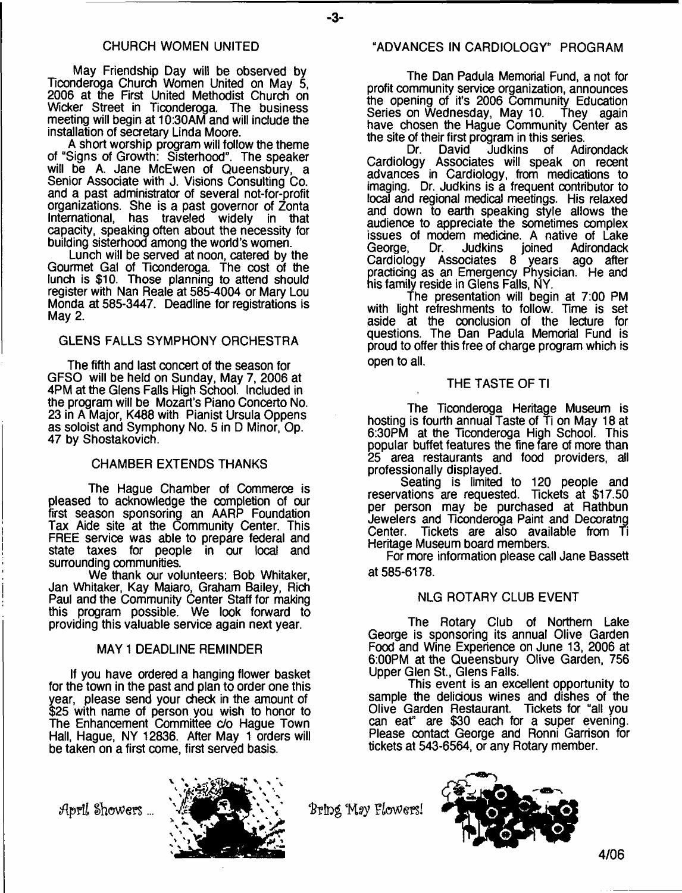#### CHURCH WOMEN UNITED

May Friendship Day will be observed by Ticonderoga Church Women United on May 5, 2006 at the First United Methodist Church on Wicker Street in Ticonderoga The business meeting will begin at 10:30AM and will include the installation of secretary Linda Moore.

A short worship program will follow the theme of "Signs of Growth: Sisterhood". The speaker will be A. Jane McEwen of Queensbury, a Senior Associate with J. Visions Consulting Co. and a past administrator of several not-for-profit organizations. She is a past governor of Zonta International, has traveled capacity, speaking often about the necessity for building sisterhood among the world's women.

Lunch will be served at noon, catered by the Gourmet Gal of Ticonderoga. The cost of the lunch is \$10. Those planning to attend should register with Nan Reale at 585-4004 or Mary Lou Monda at 585-3447. Deadline for registrations is May 2.

#### GLENS FALLS SYMPHONY ORCHESTRA

The fifth and last concert of the season for GFSO will be held on Sunday, May 7, 2006 at 4PM at the Glens Falls High School. Included in the program will be Mozart's Piano Concerto No. 23 in A Major, K488 with Pianist Ursula Oppens as soloist and Symphony No. 5 in D Minor, Op. 47 by Shostakovich.

#### CHAMBER EXTENDS THANKS

The Hague Chamber of Commerce is pleased to acknowledge the completion of our first season sponsoring an AARP Foundation Tax Aide site at the Community Center. This FREE service was able to prepare federal and state taxes for people in our local and surrounding communities.

We thank our volunteers: Bob Whitaker, Jan Whitaker, Kay Maiaro, Graham Bailey, Rich Paul and the Community Center Staff for making this program possible. We look forward to providing this valuable service again next year.

#### MAY 1 DEADLINE REMINDER

If you have ordered a hanging flower basket for the town in the past and plan to order one this year, please send your check in the amount of \$25 with name of person you wish to honor to The Enhancement Committee c/o Hague Town Hall, Hague, NY 12836. After May 1 orders will be taken on a first come, first served basis.

The Dan Padula Memorial Fund, a not for profit community service organization, announces the opening of it's 2006 Community Education Series on Wednesday, May 10. They again have chosen the Hague Community Center as the site of their first program in this series.<br>Dr. David Judkins of Adi

Judkins of Adirondack Cardiology Associates will speak on recent advances in Cardiology, from medications to imaging. Dr. Judkins is a frequent contributor to local and regional medical meetings. His relaxed and down to earth speaking style allows the audience to appreciate the sometimes complex issues of modem medicine. A native of Lake George, Dr. Judkins joined Adirondack Cardiology Associates 8 years ago after practicing as an Emergency Physician. He and his family reside in Glens Falls, NY.

The presentation will begin at 7:00 PM with light refreshments to follow. Time is set aside at the conclusion of the lecture for questions. The Dan Padula Memorial Fund is proud to offer this free of charge program which is open to all.

#### THE TASTE OF Tl

The Ticonderoga Heritage Museum is hosting is fourth annual Taste of Ti on May 18 at 6:30PM at the Ticonderoga High School. This popular buffet features the fine fare of more than 25 area restaurants and food providers, all professionally displayed.

Seating is limited to 120 people and reservations are requested. Tickets at \$17.50 per person may be purchased at Rathbun Jewelers and Ticonderoga Paint and Decoratng Center. Tickets are also available from Ti Heritage Museum board members.

For more information please call Jane Bassett at 585-6178.

#### NLG ROTARY CLUB EVENT

The Rotary Club of Northern Lake George is sponsoring its annual Olive Garden Food and Wine Experience on June 13, 2006 at 6:00PM at the Queensbury Olive Garden, 756 Upper Glen St., Glens Falls.

This event is an excellent opportunity to sample the delicious wines and dishes of the Olive Garden Restaurant. Tickets for "all you can eat" are \$30 each for a super evening. Please contact George and Ronni Garrison for tickets at 543-6564, or any Rotary member.





**4/06**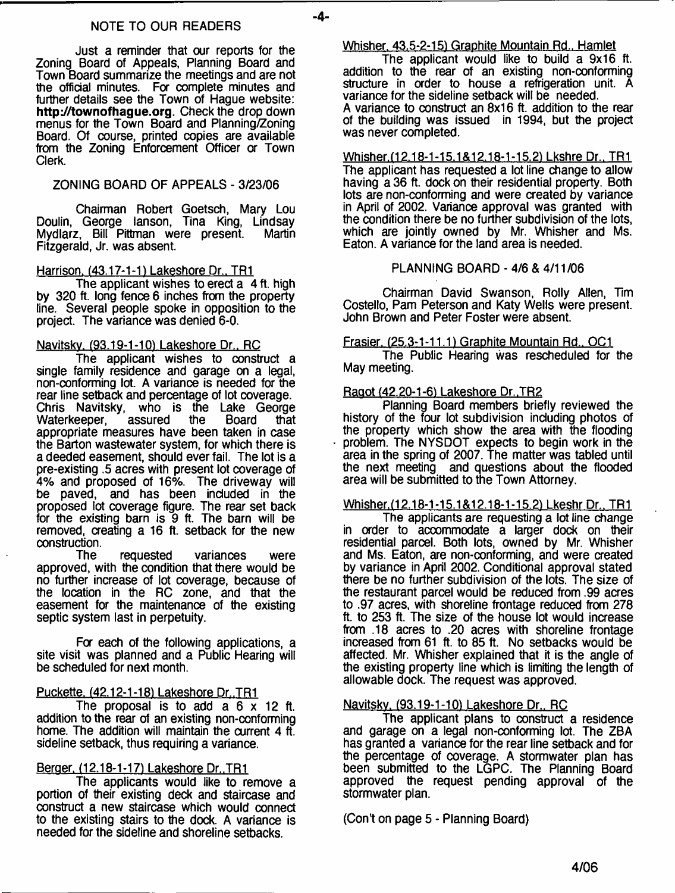#### NOTE TO OUR READERS

Just a reminder that our reports for the Zoning Board of Appeals, Planning Board and Town Board summarize the meetings and are not the official minutes. For complete minutes and further details see the Town of Hague website: **[http://townofhague.org.](http://townofhague.org)** Check the drop down menus for the Town Board and Planning/Zoning Board. Of course, printed copies are available from the Zoning Enforcement Officer a Town Clerk.

# ZONING BOARD OF APPEALS - 3/23/06

Chairman Robert Goetsch, Mary Lou Doulin, George lanson, Tina King, Lindsay Mydlarz, Bill Pittman were present. Fitzgerald, Jr. was absent.

# Harrison. (43.17-1-1) Lakeshore Dr.. TR1

The applicant wishes to erect a 4 ft. high by 320 ft. long fence 6 inches from the property line. Several people spoke in opposition to the project. The variance was denied 6-0.

# Navitskv. (93.19-1-10) Lakeshore Dr.. RC

The applicant wishes to construct a single family residence and garage on a legal, non-conforming lot. A variance is needed for the rear line setback and percentage of lot coverage.<br>Chris Navitsky, who is the Lake George who is the Lake George<br>assured the Board that Waterkeeper, appropriate measures have been taken in case the Barton wastewater system, for which there is a deeded easement, should ever fail. The lot is a pre-existing .5 acres with present lot coverage of 4% and proposed of 16%. The driveway will be paved, and has been included in the proposed lot coverage figure. The rear set back for the existing barn is 9 ft. The barn will be removed, creating a 16 ft. setback for the new

construction.<br>The requested variances were approved, with the condition that there would be no further increase of lot coverage, because of the location in the RC zone, and that the easement for the maintenance of the existing septic system last in perpetuity.

For each of the following applications, a site visit was planned and a Public Hearing will be scheduled for next month.

# Puckette. <42.12-1-181 Lakeshore Dr. TRI

The proposal is to add a 6 x 12 ft. addition to the rear of an existing non-conforming home. The addition will maintain the current 4 ft. sideline setback, thus requiring a variance.

# Berger. (12.18-1-17) Lakeshore Dr., TR1

The applicants would like to remove a portion of their existing deck and staircase and construct a new staircase which would connect to the existing stairs to the dock. A variance is needed for the sideline and shoreline setbacks.

# Whisher. 43.5-2-15) Graphite Mountain Rd.. Hamlet

The applicant would like to build a 9x16 ft. addition to the rear of an existing non-conforming structure in order to house a refrigeration unit. A variance for the sideline setback will be needed. A variance to construct an 8x16 ft. addition to the rear of the building was issued in 1994, but the project was never completed.

Whisher.(12.18-1-15.1&12.18-1-15.2) Lkshre Dr., TR1 The applicant has requested a lot line change to allow having a 36 ft. dock on their residential property. Both lots are non-conforming and were created by variance in April of 2002. Variance approval was granted with the condition there be no further subdivision of the lots, which are jointly owned by Mr. Whisher and Ms. Eaton. A variance for the land area is needed.

PLANNING BOARD - 4/6 & 4/11/06

Chairman David Swanson, Roily Allen, Tim Costello, Pam Peterson and Katy Wells were present. John Brown and Peter Foster were absent.

# Frasier. (25.3-1-11.1) Graphite Mountain Rd.. OC1

The Public Hearing was rescheduled for the May meeting.

# Raaot (42.20-1-6) Lakeshore Dr..TR2

Planning Board members briefly reviewed the history of the four lot subdivision including photos of the property which show the area with the flooding problem. The NYSDOT expects to begin work in the area in the spring of 2007. The matter was tabled until the next meeting and questions about the flooded area will be submitted to the Town Attorney.

# Whisher.(12.18-1-15.1&12.18-1-15.2) Lkeshr Dr., TR1

The applicants are requesting a lot line change in order to accommodate a larger dock on their residential parcel. Both lots, owned by Mr. Whisher and Ms. Eaton, are non-conforming, and were created by variance in April 2002. Conditional approval stated there be no further subdivision of the lots. The size of the restaurant parcel would be reduced from .99 acres to .97 acres, with shoreline frontage reduced from 278 ft. to 253 ft. The size of the house lot would increase from .18 acres to .20 acres with shoreline frontage increased from 61 ft. to 85 ft. No setbacks would be affected. Mr. Whisher explained that it is the angle of the existing property line which is limiting the length of allowable dock. The request was approved.

# Navitskv. (93.19-1-10) Lakeshore Dr.. RC

The applicant plans to construct a residence and garage on a legal non-conforming lot. The ZBA has granted a variance for the rear line setback and for the percentage of coverage. A stormwater plan has been submitted to the LGPC. The Planning Board approved the request pending approval of the stormwater plan.

(Con't on page 5 - Planning Board)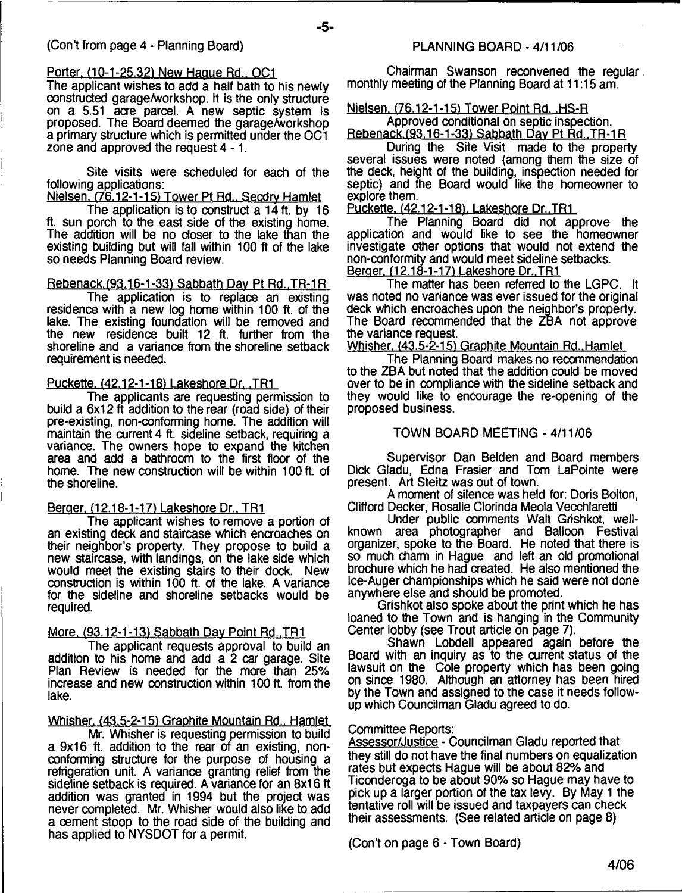#### Porter. (10-1 -25.32) New Hague Rd.. OC1

The applicant wishes to add a half bath to his newly constructed garage/workshop. It is the only structure on a 5.51 acre parcel. A new septic system is proposed. The Board deemed the garage/workshop a primary structure which is permitted under the OC1 zone and approved the request 4-1.

- **5**-

Site visits were scheduled for each of the following applications:

Nielsen. (76.12-1-15) Tower Pt Rd.. Secdrv Hamlet

The application is to construct a 14 ft. by 16 ft. sun porch to the east side of the existing home. The addition will be no closer to the lake than the existing building but will fall within 100 ft of the lake so needs Planning Board review.

#### Rebenack.(93.16-1-33) Sabbath Dav Pt Rd..TR-1R

The application is to replace an existing residence with a new log home within 100 ft. of the lake. The existing foundation will be removed and the new residence built 12 ft. further from the shoreline and a variance from the shoreline setback requirement is needed.

#### Puckette. (42.12-1-181 Lakeshore Dr. .TR1

The applicants are requesting permission to build a 6x12 ft addition to the rear (road side) of their pre-existing, non-conforming home. The addition will maintain the current 4 ft. sideline setback, requiring a variance. The owners hope to expand the kitchen area and add a bathroom to the first floor of the home. The new construction will be within 100 ft. of the shoreline.

#### Beraer. (12.18-1-17) Lakeshore Dr.. TR1

The applicant wishes to remove a portion of an existing deck and staircase which encroaches on their neighbor's property. They propose to build a new staircase, with landings, on the lake side which would meet the existing stairs to their dock. New construction is within 100 ft. of the lake. A variance for the sideline and shoreline setbacks would be required.

#### More. (93.12-1-13) Sabbath Day Point Rd., TR1

The applicant requests approval to build an addition to his home and add a 2 car garage. Site Plan Review is needed for the more than 25% increase and new construction within 100 ft. from the lake.

Whisher. (43.5-2-15) Graphite Mountain Rd., Hamlet

Mr. Whisher is requesting permission to build a 9x16 ft. addition to the rear of an existing, nonconforming structure for the purpose of housing a refrigeration unit. A variance granting relief from the sideline setback is required. A variance for an 8x16 ft addition was granted in 1994 but the project was never completed. Mr. Whisher would also like to add a cement stoop to the road side of the building and has applied to NYSDOT for a permit.

Chairman Swanson reconvened the regular monthly meeting of the Planning Board at 11:15 am.

#### Nielsen. (76.12-1-15) Tower Point Rd. .HS-R

Approved conditional on septic inspection. Rebenack.(93.16-1-33) Sabbath Dav Pt Rd..TR-1R

During the Site Visit made to the property several issues were noted (among them the size of the deck, height of the building, inspection needed for septic) and the Board would like the homeowner to explore them.

Puckette. (42.12-1-18). Lakeshore Dr., TR1

The Planning Board did not approve the application and would like to see the homeowner investigate other options that would not extend the non-conformity and would meet sideline setbacks. Beraer. (12.18-1-17) Lakeshore Dr..TR1

The matter has been referred to the LGPC. It was noted no variance was ever issued for the original deck which encroaches upon the neighbor's property. The Board recommended that the ZBA not approve the variance request.

Whisher. (43.5-2-15) Graphite Mountain Rd..Hamlet

The Planning Board makes no recommendation to the ZBA but noted that the addition could be moved over to be in compliance with the sideline setback and they would like to encourage the re-opening of the proposed business.

#### TOWN BOARD MEETING - 4/11/06

Supervisor Dan Belden and Board members Dick Gladu, Edna Frasier and Tom LaPointe were present. Art Steitz was out of town.

A moment of silence was held for: Doris Bolton, Clifford Decker, Rosalie Clorinda Meola Vecchlaretti

Linder public comments Walt Grishkot, wellknown area photographer and Balloon Festival organizer, spoke to the Board. He noted that there is so much charm in Hague and left an old promotional brochure which he had created. He also mentioned the Ice-Auger championships which he said were not done anywhere else and should be promoted.

Grishkot also spoke about the print which he has loaned to the Town and is hanging in the Community Center lobby (see Trout article on page 7).

Shawn Lobdell appeared again before the Board with an inquiry as to the current status of the lawsuit on the Cole property which has been going on since 1980. Although an attorney has been hired by the Town and assigned to the case it needs followup which Councilman Gladu agreed to do.

#### Committee Reports:

Assessor/Justice - Councilman Gladu reported that they still do not have the final numbers on equalization rates but expects Hague will be about 82% and Ticonderoga to be about 90% so Hague may have to pick up a larger portion of the tax levy. By May 1 the tentative roll will be issued and taxpayers can check their assessments. (See related article on page 8)

(Cont on page 6 - Town Board)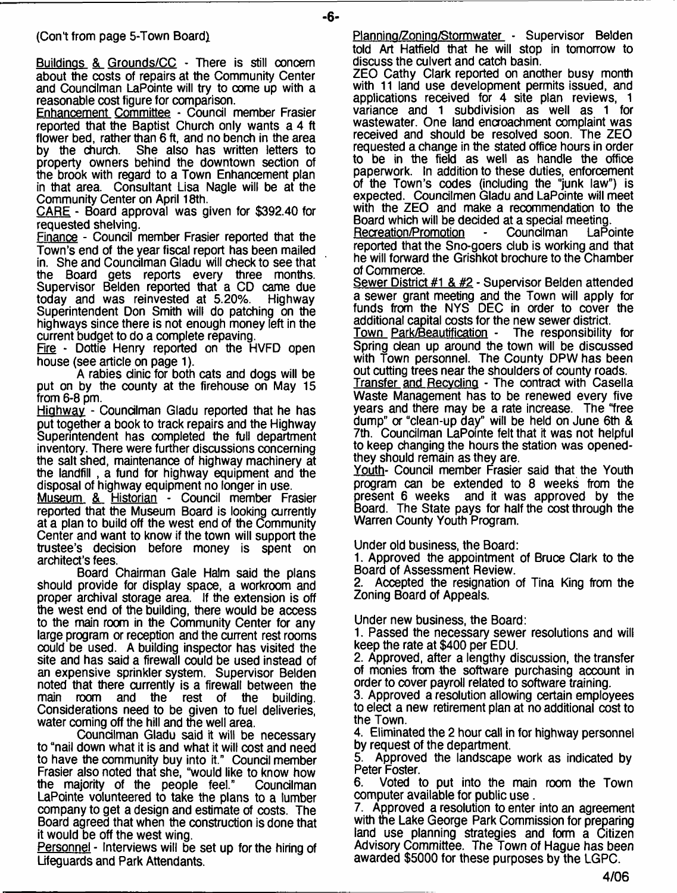#### (Con't from page 5-Town Board)

Buildings & Grounds/CC - There is still concern about the costs of repairs at the Community Center and Councilman LaPointe will try to come up with a reasonable cost figure for comparison.

Enhancement Committee - Council member Frasier reported that the Baptist Church only wants a 4 ft flower bed, rather than 6 ft, and no bench in the area<br>by the church. She also has written letters to She also has written letters to property owners behind the downtown section of the brook with regard to a Town Enhancement plan in that area. Consultant Lisa Nagle will be at the Community Center on April 18th.

CARE - Board approval was given for \$392.40 for requested shelving.

Finance - Council member Frasier reported that the Town's end of the year fiscal report has been mailed in. She and Councilman Gladu will check to see that the Board gets reports every three months. Supervisor Belden reported that a CD came due<br>today and was reinvested at 5.20%. Highway today and was reinvested at 5.20%. Superintendent Don Smith will do patching on the highways since there is not enough money left in the current budget to do a complete repaving.

Fire - Dottie Henry reported on the HVFD open house (see article on page 1).

A rabies clinic for both cats and dogs will be put on by the county at the firehouse on May 15 from 6-8 pm.

Highway - Councilman Gladu reported that he has put together a book to track repairs and the Highway Superintendent has completed the full department inventory. There were further discussions concerning the salt shed, maintenance of highway machinery at the landfill , a fund for highway equipment and the disposal of highway equipment no longer in use.

Museum & Historian - Council member Frasier reported that the Museum Board is looking currently at a plan to build off the west end of the Community Center and want to know if the town will support the trustee's decision before money is spent on architect's fees.

Board Chairman Gale Halm said the plans should provide for display space, a workroom and proper archival storage area. If the extension is off the west end of the building, there would be access to the main room in the Community Center for any large program or reception and the current rest rooms could be used. A building inspector has visited the site and has said a firewall could be used instead of an expensive sprinkler system. Supervisor Belden noted that there currently is a firewall between the main room and the rest of the building. Considerations need to be given to fuel deliveries, water coming off the hill and the well area.

Councilman Gladu said it will be necessary to "nail down what it is and what it will cost and need to have the community buy into it." Council member Frasier also noted that she, "would like to know how the majority of the people feel." Councilman LaPointe volunteered to take the plans to a lumber company to get a design and estimate of costs. The Board agreed that when the construction is done that it would be off the west wing.

Personnel - Interviews will be set up for the hiring of Lifeguards and Park Attendants.

Planning/Zoning/Stormwater - Supervisor Belden told Art Hatfield that he will stop in tomorrow to discuss the culvert and catch basin.

ZEO Cathy Clark reported on another busy month with 11 land use development permits issued, and applications received for 4 site plan reviews, 1 variance and 1 subdivision as well as 1 for wastewater. One land encroachment complaint was received and should be resolved soon. The ZEO requested a change in the stated office hours in order to be in the field as well as handle the office paperwork. In addition to these duties, enforcement of the Town's codes (including the "junk law") is expected. Councilmen Gladu and LaPointe will meet with the ZEO and make a recommendation to the

Board which will be decided at a special meeting. Recreation/Promotion reported that the Sno-goers dub is working and that he will forward the Grishkot brochure to the Chamber of Commerce.

Sewer District #1 & #2 - Supervisor Belden attended a sewer grant meeting and the Town will apply for funds from the NYS DEC in order to cover the additional capital costs for the new sewer district.

Town Park/Beautification - The responsibility for Spring dean up around the town will be discussed with Town personnel. The County DPW has been out cutting trees near the shoulders of county roads.

Transfer and Recvdina - The contract with Casella Waste Management has to be renewed every five years and there may be a rate increase. The "free dump" a "clean-up day" will be held on June 6th & 7th. Coundlman LaPointe felt that it was not helpful to keep changing the hours the station was openedthey should remain as they are.

Youth- Council member Frasier said that the Youth program can be extended to 8 weeks from the present 6 weeks and it was approved by the Board. The State pays for half the cost through the Warren County Youth Program.

Under old business, the Board:

1. Approved the appointment of Bruce Clark to the Board of Assessment Review.

Accepted the resignation of Tina King from the Zoning Board of Appeals.

Under new business, the Board:

1. Passed the necessary sewer resolutions and will keep the rate at \$400 per EDU.

2. Approved, after a lengthy discussion, the transfer of monies from the software purchasing account in order to cover payroll related to software training.

3. Approved a resolution allowing certain employees to elect a new retirement plan at no additional cost to the Town.

4. Eliminated the 2 hour call in for highway personnel

by request of the department.<br>5. Approved the landscape Approved the landscape work as indicated by Peter Foster.

6. Voted to put into the main room the Town computer available for public use.

7. Approved a resolution to enter into an agreement with the Lake George Park Commission for preparing land use planning strategies and form a Citizen Advisory Committee. The Town of Hague has been awarded \$5000 for these purposes by the LGPC.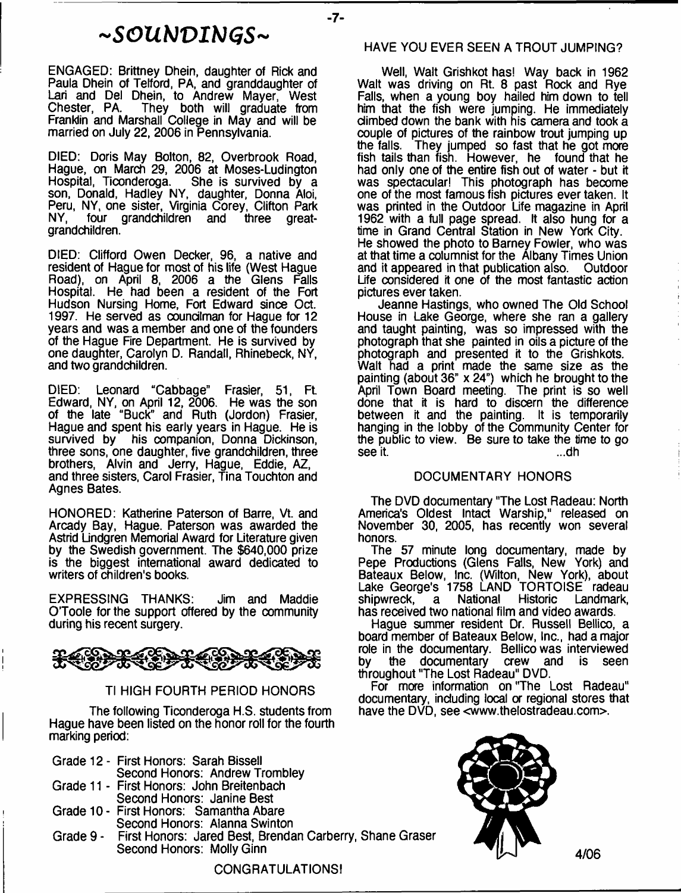# *~ S G U t J V I N ( j S ~*

 $-7-$ 

ENGAGED: Brittney Dhein, daughter of Rick and Paula Dhein of Tefford, PA, and granddaughter of Lari and Del Dhein, to Andrew Mayer, West Chester, PA. They both will graduate from Franklin and Marshall College in May and will be married on July 22, 2006 in Pennsylvania.

DIED: Doris May Bolton, 82, Overbrook Road, Hague, on March 29, 2006 at Moses-Ludington<br>Hospital, Ticonderoga. She is survived by a Hospital, Ticonderoga. She is survived by a son, Donald, Hadley NY, daughter, Donna Aloi, Peru, NY, one sister, Virginia Corey, Clifton Park NY, four grandchildren and three greatgrandchildren.

DIED: Clifford Owen Decker, 96, a native and resident of Hague for most of his life (West Hague Road), on April 8, 2006 a the Glens Falls Hospital. He had been a resident of the Fort Hudson Nursing Home, Fort Edward since Oct. 1997. He served as councilman for Hague for 12 years and was a member and one of the founders of the Hague Fire Department. He is survived by one daughter, Carolyn D. Randall, Rhinebeck, NY, and two grandchildren.

DIED: Leonard "Cabbage" Frasier, 51, Ft Edward, NY, on April 12, 2006. He was the son of the late "Buck" and Ruth (Jordon) Frasier, Hague and spent his early years in Hague. He is survived by his companion, Donna Dickinson, three sons, one daughter, five grandchildren, three brothers, Alvin and Jerry, Hague, Eddie, AZ, and three sisters, Carol Frasier, Tina Touchton and Agnes Bates.

HONORED: Katherine Paterson of Barre, Vt. and Arcady Bay, Hague. Paterson was awarded the Astrid Lindgren Memorial Award for Literature given by the Swedish government. The \$640,000 prize is the biggest international award dedicated to writers of children's books.

EXPRESSING THANKS: Jim and Maddie O'Toole for the support offered by the community during his recent surgery.

<del>€ \$€\$\$\$\$\$\$</del> まく ふう

#### TI HIGH FOURTH PERIOD HONORS

The following Ticonderoga H.S. students from Hague have been listed on the honor roll for the fourth marking period:

| Grade 12 - First Honors: Sarah Bissell    |
|-------------------------------------------|
| Second Honors: Andrew Trombley            |
| Grade 11 - First Honors: John Breitenbach |
| Second Honors: Janine Best                |

- Grade 10- First Honors: Samantha Abare Second Honors: Alanna Swinton
- Grade 9 First Honors: Jared Best, Brendan Carberry, Shane Graser Second Honors: Molly Ginn

#### HAVE YOU EVER SEEN A TROUT JUMPING?

Well, Walt Grishkot has! Way back in 1962 Walt was driving on Rt. 8 past Rock and Rye Falls, when a young boy hailed him down to tell him that the fish were jumping. He immediately climbed down the bank with his camera and took a couple of pictures of the rainbow trout jumping up<br>the falls. They jumped so fast that he got more They jumped so fast that he got more fish tails than fish. However, he found that he had only one of the entire fish out of water - but it was spectacular! This photograph has become one of the most famous fish pictures ever taken. It was printed in the Outdoor Life magazine in April 1962 with a full page spread. It also hung for a time in Grand Central Station in New York City. He showed the photo to Barney Fowler, who was at that time a columnist for the Albany Times Union and it appeared in that publication also. Outdoor Life considered it one of the most fantastic action pictures ever taken.

Jeanne Hastings, who owned The Old School House in Lake George, where she ran a gallery and taught painting, was so impressed with the photograph that she painted in oils a picture of the photograph and presented it to the Grishkots. Walt had a print made the same size as the painting (about  $36" \times 24"$ ) which he brought to the April Town Board meeting. The print is so well done that it is hard to discern the difference between it and the painting. It is temporarily hanging in the lobby of the Community Center for the public to view. Be sure to take the time to go see it. ...dh

#### DOCUMENTARY HONORS

The DVD documentary "The Lost Radeau: North America's Oldest Intact Warship," released on November 30, 2005, has recently won several honors.

The 57 minute long documentary, made by Pepe Productions (Glens Falls, New York) and Bateaux Below, Inc. (Wilton, New York), about Lake George's 1758 LAND TORTOISE radeau shipwreck, a National Historic Landmark, has received two national film and video awards.

Hague summer resident Dr. Russell Bellico, a board member of Bateaux Below, Inc., had a major role in the documentary. Bellico was interviewed by the documentary crew and is seen throughout "The Lost Radeau" DVD.

For more information on "The Lost Radeau" documentary, including local or regional stores that have the DVD, see <[www.thelostradeau.com](http://www.thelostradeau.com)>.



CONGRATULATIONS!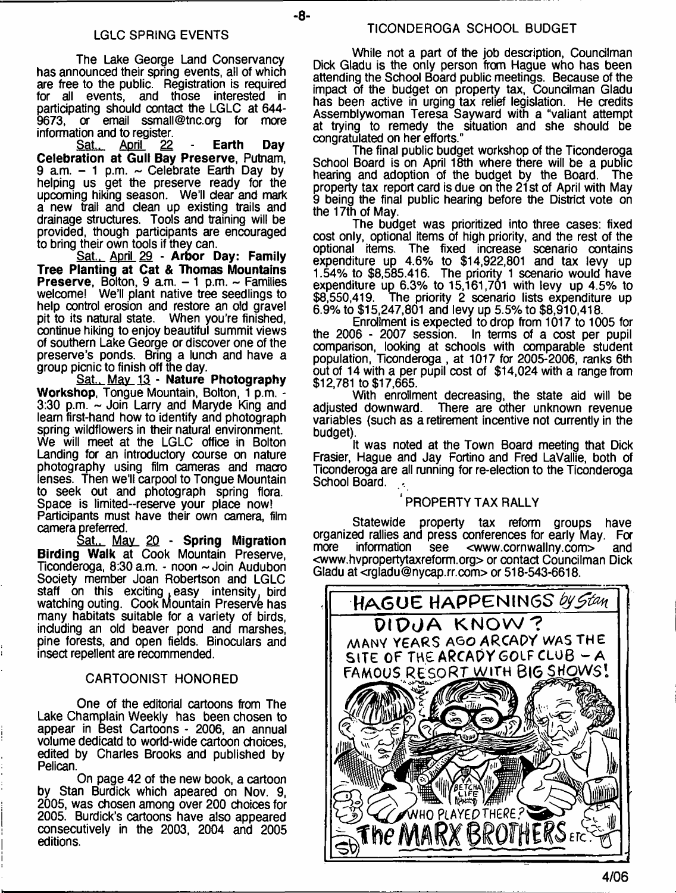- **8**-

The Lake George Land Conservancy has announced their spring events, all of which are free to the public. Registration is required for all events, and those interested in participating should contact the LGLC at 644 9673, or email [ssmall@tnc.org](mailto:ssmall@tnc.org) for more

information and to register.<br>Sat., April 22 Sat.. April *2Z* - **Earth Day Celebration at Gull Bay Preserve,** Putnam, 9 a.m.  $-$  1 p.m.  $\sim$  Celebrate Earth Day by helping us get the preserve ready for the upcoming hiking season. We'll dear and mark a new trail and dean up existing trails and drainage structures. Tools and training will be provided, though participants are encouraged to bring their own tools if they can.

Sat.. April 29 - **Arbor Day: Family Tree Planting at Cat & Thomas Mountains Preserve, Bolton, 9 a.m.**  $-1$  **p.m.**  $\sim$  **Families** welcome! We'll plant native tree seedlings to help control erosion and restore an old gravel pit to its natural state. When you're finished, continue hiking to enjoy beautiful summit views of southern Lake George or discover one of the preserve's ponds. Bring a lunch and have a group picnic to finish off the day.

Sat.. May 13 - **Nature Photography Workshop,** Tongue Mountain, Bolton, 1 p.m. - 3:30 p.m. - Join Larry and Maryde King and learn first-hand how to identify and photograph spring wildflowers in their natural environment. We will meet at the LGLC office in Bolton Landing for an introductory course on nature photography using film cameras and macro lenses. Then we'll carpool to Tongue Mountain to seek out and photograph spring flora. Space is limited-reserve your place now! Participants must have their own camera, film camera preferred.

Sat., May 2Q - **Spring Migration Birding Walk** at Cook Mountain Preserve, Ticonderoga, 8:30 a.m. - noon ~ Join Audubon Society member Joan Robertson and LGLC staff on this exciting easy intensity, bird watching outing. Cook Mountain Preserve has many habitats suitable for a variety of birds, including an old beaver pond and marshes, pine forests, and open fields. Binoculars and insect repellent are recommended.

#### CARTOONIST HONORED

One of the editorial cartoons from The Lake Champlain Weekly has been chosen to appear in Best Cartoons - 2006, an annual volume dedicatd to world-wide cartoon choices, edited by Charles Brooks and published by Pelican.

On page 42 of the new book, a cartoon by Stan Burdick which apeared on Nov. 9, 2005, was chosen among over 200 choices for 2005. Burdick's cartoons have also appeared consecutively in the 2003, 2004 and 2005 editions.

While not a part of the job description, Councilman Dick Gladu is the only person from Hague who has been attending the School Board public meetings. Because of the impact of the budget on property tax, Councilman Gladu has been active in urging tax relief legislation. He credits Assemblywoman Teresa Sayward with a "valiant attempt at trying to remedy the situation and she should be congratulated on her efforts."

The final public budget workshop of the Ticonderoga School Board is on April 18th where there will be a public hearing and adoption of the budget by the Board. The property tax report card is due on the 21 st of April with May 9 being the final public hearing before the District vote on the 17th of May.

The budget was prioritized into three cases: fixed cost only, optional items of high priority, and the rest of the optional items. The fixed increase scenario contains expenditure up 4.6% to \$14,922,801 and tax levy up 1.54% to \$8,585,416. The priority 1 scenario would have expenditure up 6.3% to 15,161,701 with levy up 4.5% to \$8,550,419. The priority 2 scenario lists expenditure up 6.9% to \$15,247,801 and levy up 5.5% to \$8,910,418.

Enrollment is expected to drop from 1017 to 1005 for the 2006 - 2007 session. In terms of a cost per pupil comparison, looking at schools with comparable student population, Ticonderoga , at 1017 for 2005-2006, ranks 6th out of 14 with a per pupil cost of \$14,024 with a range from \$12,781 to \$17,665.

With enrollment decreasing, the state aid will be adjusted downward. There are other unknown revenue There are other unknown revenue variables (such as a retirement incentive not currently in the budget).

It was noted at the Town Board meeting that Dick Frasier, Hague and Jay Fortino and Fred LaVallie, both of Ticonderoga are all running for re-election to the Ticonderoga School Board.

# ' PROPERTY TAX RALLY

Statewide property tax reform groups have organized rallies and press conferences for early May. For  $<$ www.cornwallny.com $>$ <[www.hvpropertytaxreform.org>](http://www.hvpropertytaxreform.org) or contact Councilman Dick Gladu at [<rgladu@nycap.rr.com](mailto:rgladu@nycap.rr.com)> or 518-543-6618.

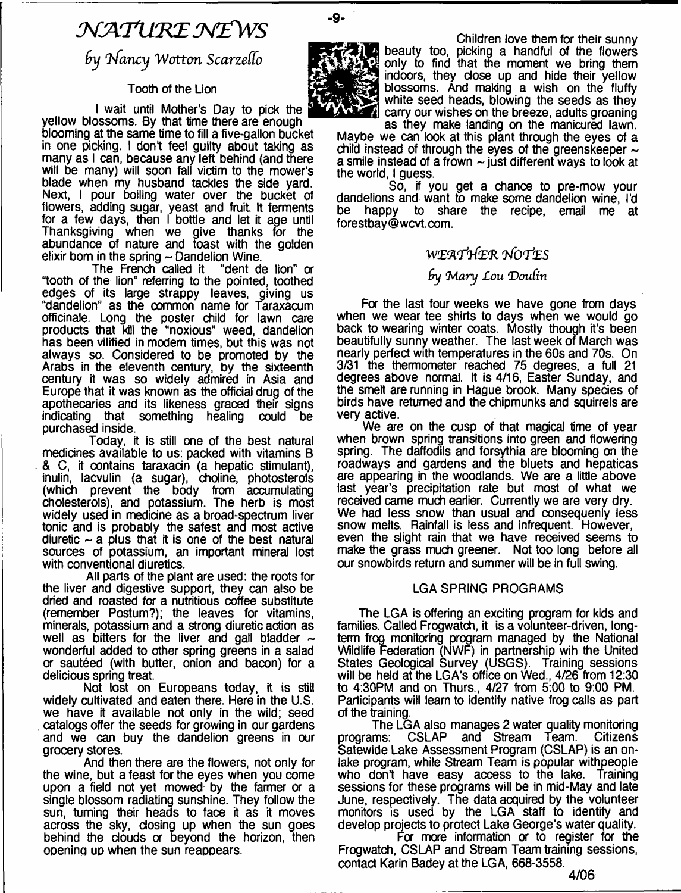# *J L A 'T lL 'K E M E W S*

 $9y$  Nancy Wotton Scarzello

#### **Tooth of the Lion**

I wait until Mother's Day to pick the

yellow blossoms. By that time there are enough blooming at the same time to fill a five-gallon bucket in one picking. I don't feel guilty about taking as many as I can, because any left behind (and there will be many) will soon fall victim to the mower's blade when my husband tackles the side yard. Next, I pour boiling water over the bucket of flowers, adding sugar, yeast and fruit. It ferments for a few days, then I bottle and let it age until Thanksgiving when we give thanks for the abundance of nature and toast with the golden

elixir born in the spring  $\sim$  Dandelion Wine.<br>The French called it "dent de lion" or The French called it "tooth of the lion" referring to the pointed, toothed edges of its large strappy leaves, giving us "dandelion" as the common name for Taraxacum officinale. Long the poster child for lawn care products that kill the "noxious" weed, dandelion has been vilified in modem times, but this was not always so. Considered to be promoted by the Arabs in the eleventh century, by the sixteenth century it was so widely admired in Asia and Europe that it was known as the official drug of the apothecaries and its likeness graced their signs indicating that something healing could be purchased inside.

Today, it is still one of the best natural medicines available to us: packed with vitamins B & C, it contains taraxadn (a hepatic stimulant), inulin, lacvulin (a sugar), choline, photosterols (which prevent the body from accumulating cholesterols), and potassium. The herb is most widely used in medicine as a broad-spectrum liver tonic and is probably the safest and most active diuretic  $\sim$  a plus that it is one of the best natural sources of potassium, an important mineral lost with conventional diuretics.

All parts of the plant are used: the roots for the liver and digestive support, they can also be dried and roasted for a nutritious coffee substitute (remember Postum?); the leaves for vitamins, minerals, potassium and a strong diuretic action as well as bitters for the liver and gall bladder  $\sim$ wonderful added to other spring greens in a salad or sauteed (with butter, onion and bacon) for a delicious spring treat.

Not lost on Europeans today, it is still widely cultivated and eaten there. Here in the U.S. we have it available not only in the wild; seed . catalogs offer the seeds for growing in our gardens and we can buy the dandelion greens in our grocery stores.

And then there are the flowers, not only for the wine, but a feast for the eyes when you come upon a field not yet mowed by the farmer or a single blossom radiating sunshine. They follow the sun, turning their heads to face it as it moves across the sky, closing up when the sun goes behind the clouds or beyond the horizon, then opening up when the sun reappears.



-9-

Children love them for their sunny **E** beauty too, picking a handful of the flowers only to find that the moment we bring them indoors, they close up and hide their yellow blossoms. And making a wish on the fluffy white seed heads, blowing the seeds as they carry our wishes on the breeze, adults groaning as they make landing on the manicured lawn.

Maybe we can look at this plant through the eyes of a child instead of through the eyes of the greenskeeper  $\sim$ a smile instead of a frown  $\sim$  just different ways to look at the world, I guess.

So, if you get a chance to pre-mow your dandelions and want to make some dandelion wine, I'd be happy to share the recipe, email me at to share the recipe, email me at [forestbay@wcvt.com](mailto:forestbay@wcvt.com).

### *WL'A'PlfZ'R tfo r k s*

# *9y M ary Lou D oufin*

For the last four weeks we have gone from days when we wear tee shirts to days when we would go back to wearing winter coats. Mostly though it's been beautifully sunny weather. The last week of March was nearly perfect with temperatures in the 60s and 70s. On 3/31 the thermometer reached 75 degrees, a full 21 degrees above normal. It is 4/16, Easter Sunday, and the smelt are running in Hague brook. Many species of birds have returned and the chipmunks and squirrels are very active.

We are on the cusp of that magical time of year when brown spring transitions into green and flowering spring. The daffodils and forsythia are blooming on the roadways and gardens and the bluets and hepaticas are appearing in the woodlands. We are a little above last year's precipitation rate but most of what we received came much earlier. Currently we are very dry. We had less snow than usual and consequenly less snow melts. Rainfall is less and infrequent. However, even the slight rain that we have received seems to make the grass much greener. Not too long before all our snowbirds return and summer will be in full swing,

#### LGA SPRING PROGRAMS

The LGA is offering an exciting program for kids and families. Called Frogwatch, it is a volunteer-driven, longterm frog monitoring program managed by the National Wildlife Federation (NWF) in partnership wih the United States Geological Survey (USGS). Training sessions will be held at the LGA's office on Wed., 4/26 from 12:30 to 4:30PM and on Thurs., 4/27 from 5:00 to 9:00 PM. Participants will learn to identify native frog calls as part of the training.

The LGA also manages 2 water quality monitoring programs: CSLAP and Stream Team. Citizens Satewide Lake Assessment Program (CSLAP) is an onlake program, while Stream Team is popular withpeople who don't have easy access to the lake. Training sessions for these programs will be in mid-May and late June, respectively. The data acquired by the volunteer monitors is used by the LGA staff to identify and develop projects to protect Lake George's water quality.

For more information or to register for the Frogwatch, CSLAP and Stream Team training sessions, contact Karin Badey at the LGA, 668-3558.